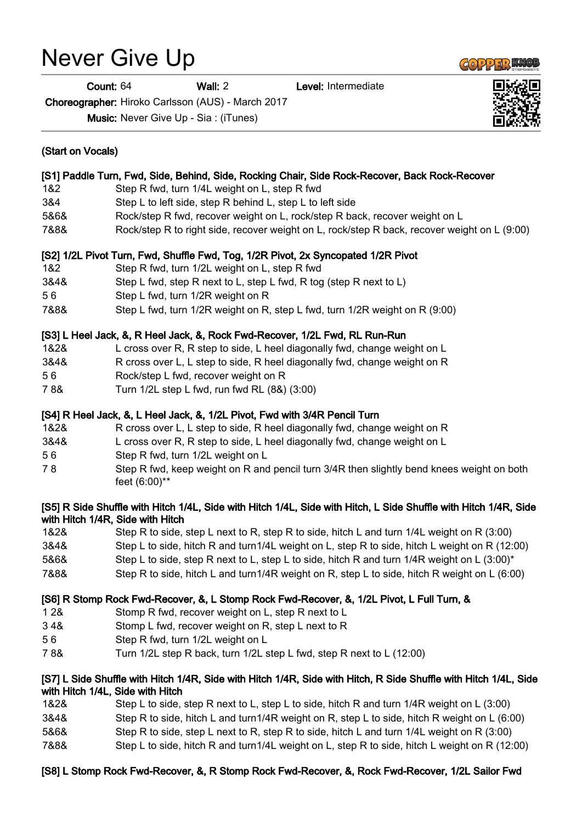# Never Give Up

Count: 64 Wall: 2 Level: Intermediate

Choreographer: Hiroko Carlsson (AUS) - March 2017

Music: Never Give Up - Sia : (iTunes)

| (Start on Vocals)                                                                              |                                                                                                                                                      |
|------------------------------------------------------------------------------------------------|------------------------------------------------------------------------------------------------------------------------------------------------------|
| [S1] Paddle Turn, Fwd, Side, Behind, Side, Rocking Chair, Side Rock-Recover, Back Rock-Recover |                                                                                                                                                      |
| 1&2                                                                                            | Step R fwd, turn 1/4L weight on L, step R fwd                                                                                                        |
| 3&4                                                                                            | Step L to left side, step R behind L, step L to left side                                                                                            |
| 5&6&                                                                                           | Rock/step R fwd, recover weight on L, rock/step R back, recover weight on L                                                                          |
| 7&8&                                                                                           | Rock/step R to right side, recover weight on L, rock/step R back, recover weight on L (9:00)                                                         |
|                                                                                                | [S2] 1/2L Pivot Turn, Fwd, Shuffle Fwd, Tog, 1/2R Pivot, 2x Syncopated 1/2R Pivot                                                                    |
| 1&2                                                                                            | Step R fwd, turn 1/2L weight on L, step R fwd                                                                                                        |
| 3&4&                                                                                           | Step L fwd, step R next to L, step L fwd, R tog (step R next to L)                                                                                   |
| 56                                                                                             | Step L fwd, turn 1/2R weight on R                                                                                                                    |
| 7&8&                                                                                           | Step L fwd, turn 1/2R weight on R, step L fwd, turn 1/2R weight on R (9:00)                                                                          |
|                                                                                                | [S3] L Heel Jack, &, R Heel Jack, &, Rock Fwd-Recover, 1/2L Fwd, RL Run-Run                                                                          |
| 1&2&                                                                                           | L cross over R, R step to side, L heel diagonally fwd, change weight on L                                                                            |
| 3&4&                                                                                           | R cross over L, L step to side, R heel diagonally fwd, change weight on R                                                                            |
| 56                                                                                             | Rock/step L fwd, recover weight on R                                                                                                                 |
| 78&                                                                                            | Turn 1/2L step L fwd, run fwd RL (8&) (3:00)                                                                                                         |
|                                                                                                | [S4] R Heel Jack, &, L Heel Jack, &, 1/2L Pivot, Fwd with 3/4R Pencil Turn                                                                           |
| 1&2&                                                                                           | R cross over L, L step to side, R heel diagonally fwd, change weight on R                                                                            |
| 3&4&                                                                                           | L cross over R, R step to side, L heel diagonally fwd, change weight on L                                                                            |
| 56                                                                                             | Step R fwd, turn 1/2L weight on L                                                                                                                    |
| 78                                                                                             | Step R fwd, keep weight on R and pencil turn 3/4R then slightly bend knees weight on both<br>feet (6:00)**                                           |
|                                                                                                | [S5] R Side Shuffle with Hitch 1/4L, Side with Hitch 1/4L, Side with Hitch, L Side Shuffle with Hitch 1/4R, Side<br>with Hitch 1/4R, Side with Hitch |
| 1&2&                                                                                           | Step R to side, step L next to R, step R to side, hitch L and turn 1/4L weight on R (3:00)                                                           |
| 3&4&                                                                                           | Step L to side, hitch R and turn1/4L weight on L, step R to side, hitch L weight on R (12:00)                                                        |
| 5&6&                                                                                           | Step L to side, step R next to L, step L to side, hitch R and turn $1/4R$ weight on L $(3.00)^*$                                                     |
| 7&8&                                                                                           | Step R to side, hitch L and turn1/4R weight on R, step L to side, hitch R weight on L (6:00)                                                         |
|                                                                                                | [S6] R Stomp Rock Fwd-Recover, &, L Stomp Rock Fwd-Recover, &, 1/2L Pivot, L Full Turn, &                                                            |
| 128                                                                                            | Stomp R fwd, recover weight on L, step R next to L                                                                                                   |
| 34&                                                                                            | Stomp L fwd, recover weight on R, step L next to R                                                                                                   |
| 56                                                                                             | Step R fwd, turn 1/2L weight on L                                                                                                                    |
| 78&                                                                                            | Turn 1/2L step R back, turn 1/2L step L fwd, step R next to L (12:00)                                                                                |
|                                                                                                | [S7] L Side Shuffle with Hitch 1/4R, Side with Hitch 1/4R, Side with Hitch, R Side Shuffle with Hitch 1/4L, Side<br>with Hitch 1/4L, Side with Hitch |
| 1&2&                                                                                           | Step L to side, step R next to L, step L to side, hitch R and turn 1/4R weight on L (3:00)                                                           |





3&4& Step R to side, hitch L and turn1/4R weight on R, step L to side, hitch R weight on L (6:00) 5&6& Step R to side, step L next to R, step R to side, hitch L and turn 1/4L weight on R (3:00) 7&8& Step L to side, hitch R and turn1/4L weight on L, step R to side, hitch L weight on R (12:00)